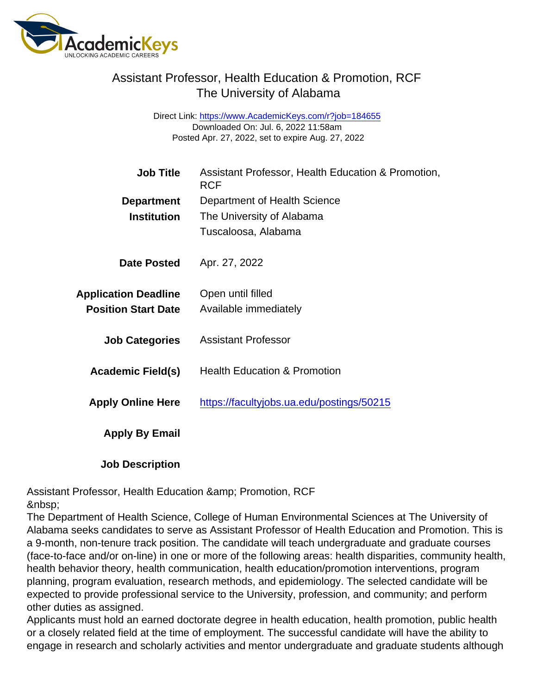## Assistant Professor, Health Education & Promotion, RCF The University of Alabama

Direct Link: <https://www.AcademicKeys.com/r?job=184655> Downloaded On: Jul. 6, 2022 11:58am Posted Apr. 27, 2022, set to expire Aug. 27, 2022

| Job Title                   | Assistant Professor, Health Education & Promotion,<br><b>RCF</b> |
|-----------------------------|------------------------------------------------------------------|
| Department                  | Department of Health Science                                     |
| Institution                 | The University of Alabama                                        |
|                             | Tuscaloosa, Alabama                                              |
| Date Posted                 | Apr. 27, 2022                                                    |
| <b>Application Deadline</b> | Open until filled                                                |
| <b>Position Start Date</b>  | Available immediately                                            |
| <b>Job Categories</b>       | <b>Assistant Professor</b>                                       |
| Academic Field(s)           | <b>Health Education &amp; Promotion</b>                          |
| <b>Apply Online Here</b>    | https://facultyjobs.ua.edu/postings/50215                        |
| Apply By Email              |                                                                  |
|                             |                                                                  |

Job Description

Assistant Professor, Health Education & amp; Promotion, RCF 

The Department of Health Science, College of Human Environmental Sciences at The University of Alabama seeks candidates to serve as Assistant Professor of Health Education and Promotion. This is a 9-month, non-tenure track position. The candidate will teach undergraduate and graduate courses (face-to-face and/or on-line) in one or more of the following areas: health disparities, community health, health behavior theory, health communication, health education/promotion interventions, program planning, program evaluation, research methods, and epidemiology. The selected candidate will be expected to provide professional service to the University, profession, and community; and perform other duties as assigned.

Applicants must hold an earned doctorate degree in health education, health promotion, public health or a closely related field at the time of employment. The successful candidate will have the ability to engage in research and scholarly activities and mentor undergraduate and graduate students although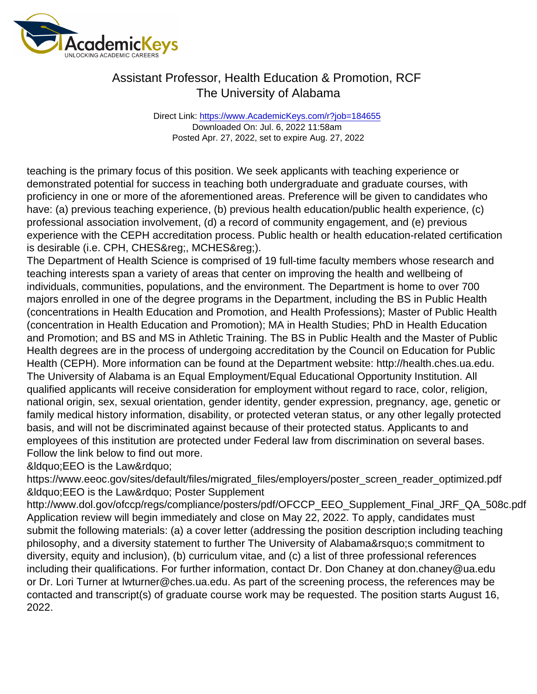## Assistant Professor, Health Education & Promotion, RCF The University of Alabama

Direct Link: <https://www.AcademicKeys.com/r?job=184655> Downloaded On: Jul. 6, 2022 11:58am Posted Apr. 27, 2022, set to expire Aug. 27, 2022

teaching is the primary focus of this position. We seek applicants with teaching experience or demonstrated potential for success in teaching both undergraduate and graduate courses, with proficiency in one or more of the aforementioned areas. Preference will be given to candidates who have: (a) previous teaching experience, (b) previous health education/public health experience, (c) professional association involvement, (d) a record of community engagement, and (e) previous experience with the CEPH accreditation process. Public health or health education-related certification is desirable (i.e. CPH, CHES®, MCHES®).

The Department of Health Science is comprised of 19 full-time faculty members whose research and teaching interests span a variety of areas that center on improving the health and wellbeing of individuals, communities, populations, and the environment. The Department is home to over 700 majors enrolled in one of the degree programs in the Department, including the BS in Public Health (concentrations in Health Education and Promotion, and Health Professions); Master of Public Health (concentration in Health Education and Promotion); MA in Health Studies; PhD in Health Education and Promotion; and BS and MS in Athletic Training. The BS in Public Health and the Master of Public Health degrees are in the process of undergoing accreditation by the Council on Education for Public Health (CEPH). More information can be found at the Department website: http://health.ches.ua.edu. The University of Alabama is an Equal Employment/Equal Educational Opportunity Institution. All qualified applicants will receive consideration for employment without regard to race, color, religion, national origin, sex, sexual orientation, gender identity, gender expression, pregnancy, age, genetic or family medical history information, disability, or protected veteran status, or any other legally protected basis, and will not be discriminated against because of their protected status. Applicants to and employees of this institution are protected under Federal law from discrimination on several bases. Follow the link below to find out more.

&Idquo;EEO is the Law"

https://www.eeoc.gov/sites/default/files/migrated\_files/employers/poster\_screen\_reader\_optimized.pdf &Idquo; EEO is the Law" Poster Supplement

http://www.dol.gov/ofccp/regs/compliance/posters/pdf/OFCCP\_EEO\_Supplement\_Final\_JRF\_QA\_508c.pdf Application review will begin immediately and close on May 22, 2022. To apply, candidates must submit the following materials: (a) a cover letter (addressing the position description including teaching philosophy, and a diversity statement to further The University of Alabama' scommitment to diversity, equity and inclusion), (b) curriculum vitae, and (c) a list of three professional references including their qualifications. For further information, contact Dr. Don Chaney at don.chaney@ua.edu or Dr. Lori Turner at lwturner@ches.ua.edu. As part of the screening process, the references may be contacted and transcript(s) of graduate course work may be requested. The position starts August 16, 2022.